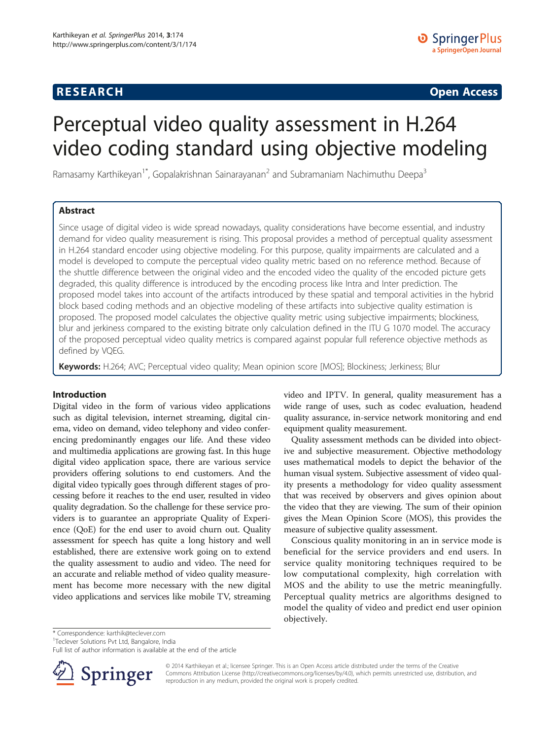## **RESEARCH CHINESE ARCH CHINESE ARCH CHINESE ARCH <b>CHINESE ARCH**

# Perceptual video quality assessment in H.264 video coding standard using objective modeling

Ramasamy Karthikeyan<sup>1\*</sup>, Gopalakrishnan Sainarayanan<sup>2</sup> and Subramaniam Nachimuthu Deepa<sup>3</sup>

## Abstract

Since usage of digital video is wide spread nowadays, quality considerations have become essential, and industry demand for video quality measurement is rising. This proposal provides a method of perceptual quality assessment in H.264 standard encoder using objective modeling. For this purpose, quality impairments are calculated and a model is developed to compute the perceptual video quality metric based on no reference method. Because of the shuttle difference between the original video and the encoded video the quality of the encoded picture gets degraded, this quality difference is introduced by the encoding process like Intra and Inter prediction. The proposed model takes into account of the artifacts introduced by these spatial and temporal activities in the hybrid block based coding methods and an objective modeling of these artifacts into subjective quality estimation is proposed. The proposed model calculates the objective quality metric using subjective impairments; blockiness, blur and jerkiness compared to the existing bitrate only calculation defined in the ITU G 1070 model. The accuracy of the proposed perceptual video quality metrics is compared against popular full reference objective methods as defined by VQEG.

Keywords: H.264; AVC; Perceptual video quality; Mean opinion score [MOS]; Blockiness; Jerkiness; Blur

## Introduction

Digital video in the form of various video applications such as digital television, internet streaming, digital cinema, video on demand, video telephony and video conferencing predominantly engages our life. And these video and multimedia applications are growing fast. In this huge digital video application space, there are various service providers offering solutions to end customers. And the digital video typically goes through different stages of processing before it reaches to the end user, resulted in video quality degradation. So the challenge for these service providers is to guarantee an appropriate Quality of Experience (QoE) for the end user to avoid churn out. Quality assessment for speech has quite a long history and well established, there are extensive work going on to extend the quality assessment to audio and video. The need for an accurate and reliable method of video quality measurement has become more necessary with the new digital video applications and services like mobile TV, streaming

video and IPTV. In general, quality measurement has a wide range of uses, such as codec evaluation, headend quality assurance, in-service network monitoring and end equipment quality measurement.

Quality assessment methods can be divided into objective and subjective measurement. Objective methodology uses mathematical models to depict the behavior of the human visual system. Subjective assessment of video quality presents a methodology for video quality assessment that was received by observers and gives opinion about the video that they are viewing. The sum of their opinion gives the Mean Opinion Score (MOS), this provides the measure of subjective quality assessment.

Conscious quality monitoring in an in service mode is beneficial for the service providers and end users. In service quality monitoring techniques required to be low computational complexity, high correlation with MOS and the ability to use the metric meaningfully. Perceptual quality metrics are algorithms designed to model the quality of video and predict end user opinion objectively.

<sup>1</sup>Teclever Solutions Pvt Ltd, Bangalore, India

Full list of author information is available at the end of the article



© 2014 Karthikeyan et al.; licensee Springer. This is an Open Access article distributed under the terms of the Creative Commons Attribution License (<http://creativecommons.org/licenses/by/4.0>), which permits unrestricted use, distribution, and reproduction in any medium, provided the original work is properly credited.

<sup>\*</sup> Correspondence: [karthik@teclever.com](mailto:karthik@teclever.com) <sup>1</sup>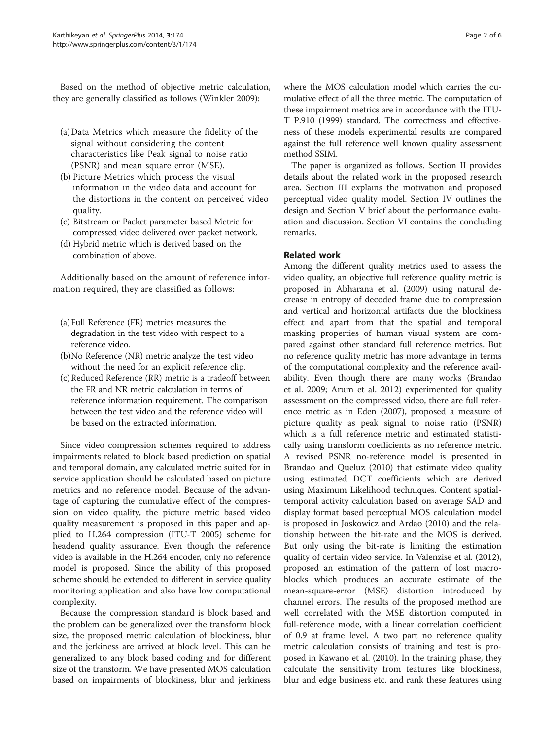Based on the method of objective metric calculation, they are generally classified as follows (Winkler [2009](#page-5-0)):

- (a)Data Metrics which measure the fidelity of the signal without considering the content characteristics like Peak signal to noise ratio (PSNR) and mean square error (MSE).
- (b) Picture Metrics which process the visual information in the video data and account for the distortions in the content on perceived video quality.
- (c) Bitstream or Packet parameter based Metric for compressed video delivered over packet network.
- (d) Hybrid metric which is derived based on the combination of above.

Additionally based on the amount of reference information required, they are classified as follows:

- (a) Full Reference (FR) metrics measures the degradation in the test video with respect to a reference video.
- (b)No Reference (NR) metric analyze the test video without the need for an explicit reference clip.
- (c)Reduced Reference (RR) metric is a tradeoff between the FR and NR metric calculation in terms of reference information requirement. The comparison between the test video and the reference video will be based on the extracted information.

Since video compression schemes required to address impairments related to block based prediction on spatial and temporal domain, any calculated metric suited for in service application should be calculated based on picture metrics and no reference model. Because of the advantage of capturing the cumulative effect of the compression on video quality, the picture metric based video quality measurement is proposed in this paper and applied to H.264 compression (ITU-T [2005](#page-5-0)) scheme for headend quality assurance. Even though the reference video is available in the H.264 encoder, only no reference model is proposed. Since the ability of this proposed scheme should be extended to different in service quality monitoring application and also have low computational complexity.

Because the compression standard is block based and the problem can be generalized over the transform block size, the proposed metric calculation of blockiness, blur and the jerkiness are arrived at block level. This can be generalized to any block based coding and for different size of the transform. We have presented MOS calculation based on impairments of blockiness, blur and jerkiness where the MOS calculation model which carries the cumulative effect of all the three metric. The computation of these impairment metrics are in accordance with the ITU-T P.910 [\(1999](#page-5-0)) standard. The correctness and effectiveness of these models experimental results are compared against the full reference well known quality assessment method SSIM.

The paper is organized as follows. Section II provides details about the related work in the proposed research area. Section III explains the motivation and proposed perceptual video quality model. Section IV outlines the design and Section V brief about the performance evaluation and discussion. Section VI contains the concluding remarks.

## Related work

Among the different quality metrics used to assess the video quality, an objective full reference quality metric is proposed in Abharana et al. [\(2009\)](#page-5-0) using natural decrease in entropy of decoded frame due to compression and vertical and horizontal artifacts due the blockiness effect and apart from that the spatial and temporal masking properties of human visual system are compared against other standard full reference metrics. But no reference quality metric has more advantage in terms of the computational complexity and the reference availability. Even though there are many works (Brandao et al. [2009](#page-5-0); Arum et al. [2012](#page-5-0)) experimented for quality assessment on the compressed video, there are full reference metric as in Eden ([2007](#page-5-0)), proposed a measure of picture quality as peak signal to noise ratio (PSNR) which is a full reference metric and estimated statistically using transform coefficients as no reference metric. A revised PSNR no-reference model is presented in Brandao and Queluz [\(2010\)](#page-5-0) that estimate video quality using estimated DCT coefficients which are derived using Maximum Likelihood techniques. Content spatialtemporal activity calculation based on average SAD and display format based perceptual MOS calculation model is proposed in Joskowicz and Ardao ([2010](#page-5-0)) and the relationship between the bit-rate and the MOS is derived. But only using the bit-rate is limiting the estimation quality of certain video service. In Valenzise et al. ([2012](#page-5-0)), proposed an estimation of the pattern of lost macroblocks which produces an accurate estimate of the mean-square-error (MSE) distortion introduced by channel errors. The results of the proposed method are well correlated with the MSE distortion computed in full-reference mode, with a linear correlation coefficient of 0.9 at frame level. A two part no reference quality metric calculation consists of training and test is proposed in Kawano et al. [\(2010\)](#page-5-0). In the training phase, they calculate the sensitivity from features like blockiness, blur and edge business etc. and rank these features using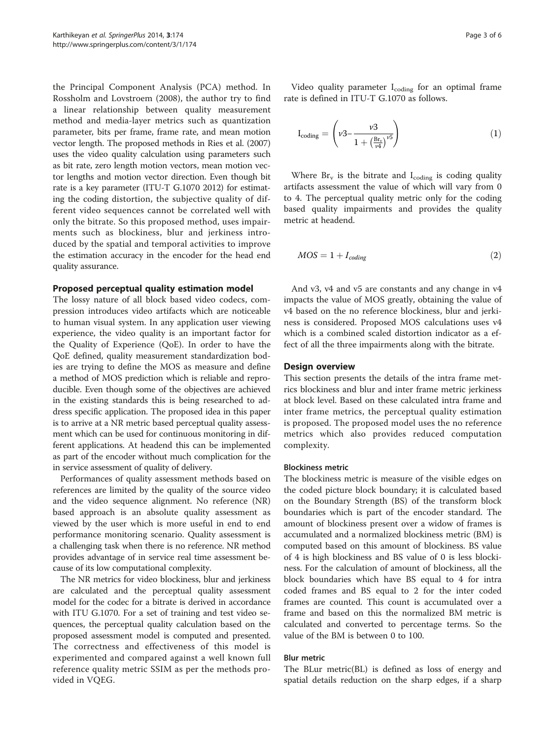<span id="page-2-0"></span>the Principal Component Analysis (PCA) method. In Rossholm and Lovstroem ([2008\)](#page-5-0), the author try to find a linear relationship between quality measurement method and media-layer metrics such as quantization parameter, bits per frame, frame rate, and mean motion vector length. The proposed methods in Ries et al. [\(2007](#page-5-0)) uses the video quality calculation using parameters such as bit rate, zero length motion vectors, mean motion vector lengths and motion vector direction. Even though bit rate is a key parameter (ITU-T G.1070 [2012](#page-5-0)) for estimating the coding distortion, the subjective quality of different video sequences cannot be correlated well with only the bitrate. So this proposed method, uses impairments such as blockiness, blur and jerkiness introduced by the spatial and temporal activities to improve the estimation accuracy in the encoder for the head end quality assurance.

#### Proposed perceptual quality estimation model

The lossy nature of all block based video codecs, compression introduces video artifacts which are noticeable to human visual system. In any application user viewing experience, the video quality is an important factor for the Quality of Experience (QoE). In order to have the QoE defined, quality measurement standardization bodies are trying to define the MOS as measure and define a method of MOS prediction which is reliable and reproducible. Even though some of the objectives are achieved in the existing standards this is being researched to address specific application. The proposed idea in this paper is to arrive at a NR metric based perceptual quality assessment which can be used for continuous monitoring in different applications. At headend this can be implemented as part of the encoder without much complication for the in service assessment of quality of delivery.

Performances of quality assessment methods based on references are limited by the quality of the source video and the video sequence alignment. No reference (NR) based approach is an absolute quality assessment as viewed by the user which is more useful in end to end performance monitoring scenario. Quality assessment is a challenging task when there is no reference. NR method provides advantage of in service real time assessment because of its low computational complexity.

The NR metrics for video blockiness, blur and jerkiness are calculated and the perceptual quality assessment model for the codec for a bitrate is derived in accordance with ITU G.1070. For a set of training and test video sequences, the perceptual quality calculation based on the proposed assessment model is computed and presented. The correctness and effectiveness of this model is experimented and compared against a well known full reference quality metric SSIM as per the methods provided in VQEG.

$$
I_{\text{coding}} = \left(\nu 3 - \frac{\nu 3}{1 + \left(\frac{B r_v}{\nu 4}\right)^{\nu 5}}\right) \tag{1}
$$

Where  $Br_v$  is the bitrate and  $I_{\text{coding}}$  is coding quality artifacts assessment the value of which will vary from 0 to 4. The perceptual quality metric only for the coding based quality impairments and provides the quality metric at headend.

$$
MOS = 1 + I_{coding} \tag{2}
$$

And v3, v4 and v5 are constants and any change in v4 impacts the value of MOS greatly, obtaining the value of v4 based on the no reference blockiness, blur and jerkiness is considered. Proposed MOS calculations uses v4 which is a combined scaled distortion indicator as a effect of all the three impairments along with the bitrate.

## Design overview

This section presents the details of the intra frame metrics blockiness and blur and inter frame metric jerkiness at block level. Based on these calculated intra frame and inter frame metrics, the perceptual quality estimation is proposed. The proposed model uses the no reference metrics which also provides reduced computation complexity.

#### Blockiness metric

The blockiness metric is measure of the visible edges on the coded picture block boundary; it is calculated based on the Boundary Strength (BS) of the transform block boundaries which is part of the encoder standard. The amount of blockiness present over a widow of frames is accumulated and a normalized blockiness metric (BM) is computed based on this amount of blockiness. BS value of 4 is high blockiness and BS value of 0 is less blockiness. For the calculation of amount of blockiness, all the block boundaries which have BS equal to 4 for intra coded frames and BS equal to 2 for the inter coded frames are counted. This count is accumulated over a frame and based on this the normalized BM metric is calculated and converted to percentage terms. So the value of the BM is between 0 to 100.

#### Blur metric

The BLur metric(BL) is defined as loss of energy and spatial details reduction on the sharp edges, if a sharp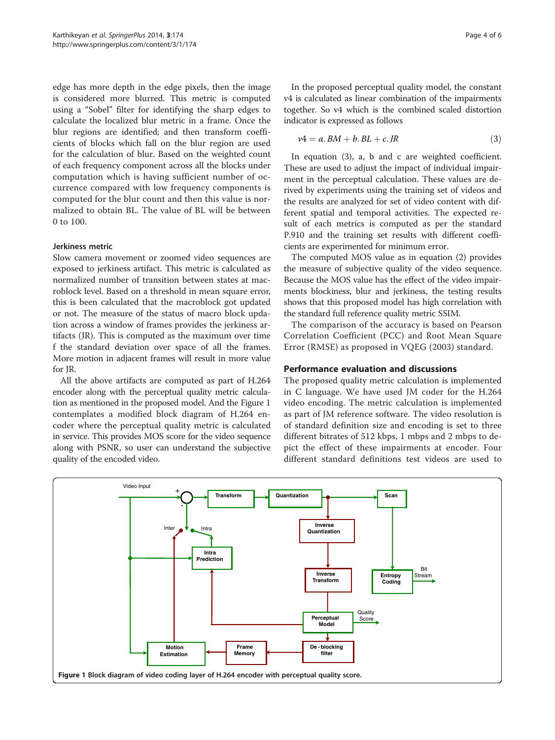<span id="page-3-0"></span>edge has more depth in the edge pixels, then the image is considered more blurred. This metric is computed using a "Sobel" filter for identifying the sharp edges to calculate the localized blur metric in a frame. Once the blur regions are identified; and then transform coefficients of blocks which fall on the blur region are used for the calculation of blur. Based on the weighted count of each frequency component across all the blocks under computation which is having sufficient number of occurrence compared with low frequency components is computed for the blur count and then this value is normalized to obtain BL. The value of BL will be between 0 to 100.

## Jerkiness metric

Slow camera movement or zoomed video sequences are exposed to jerkiness artifact. This metric is calculated as normalized number of transition between states at macroblock level. Based on a threshold in mean square error, this is been calculated that the macroblock got updated or not. The measure of the status of macro block updation across a window of frames provides the jerkiness artifacts (JR). This is computed as the maximum over time f the standard deviation over space of all the frames. More motion in adjacent frames will result in more value for JR.

All the above artifacts are computed as part of H.264 encoder along with the perceptual quality metric calculation as mentioned in the proposed model. And the Figure 1 contemplates a modified block diagram of H.264 encoder where the perceptual quality metric is calculated in service. This provides MOS score for the video sequence along with PSNR, so user can understand the subjective quality of the encoded video.

In the proposed perceptual quality model, the constant v4 is calculated as linear combination of the impairments together. So v4 which is the combined scaled distortion indicator is expressed as follows

$$
v4 = a.BM + b.BL + c.JR
$$
\n(3)

In equation (3), a, b and c are weighted coefficient. These are used to adjust the impact of individual impairment in the perceptual calculation. These values are derived by experiments using the training set of videos and the results are analyzed for set of video content with different spatial and temporal activities. The expected result of each metrics is computed as per the standard P.910 and the training set results with different coefficients are experimented for minimum error.

The computed MOS value as in equation [\(2](#page-2-0)) provides the measure of subjective quality of the video sequence. Because the MOS value has the effect of the video impairments blockiness, blur and jerkiness, the testing results shows that this proposed model has high correlation with the standard full reference quality metric SSIM.

The comparison of the accuracy is based on Pearson Correlation Coefficient (PCC) and Root Mean Square Error (RMSE) as proposed in VQEG ([2003](#page-5-0)) standard.

#### Performance evaluation and discussions

The proposed quality metric calculation is implemented in C language. We have used JM coder for the H.264 video encoding. The metric calculation is implemented as part of JM reference software. The video resolution is of standard definition size and encoding is set to three different bitrates of 512 kbps, 1 mbps and 2 mbps to depict the effect of these impairments at encoder. Four different standard definitions test videos are used to

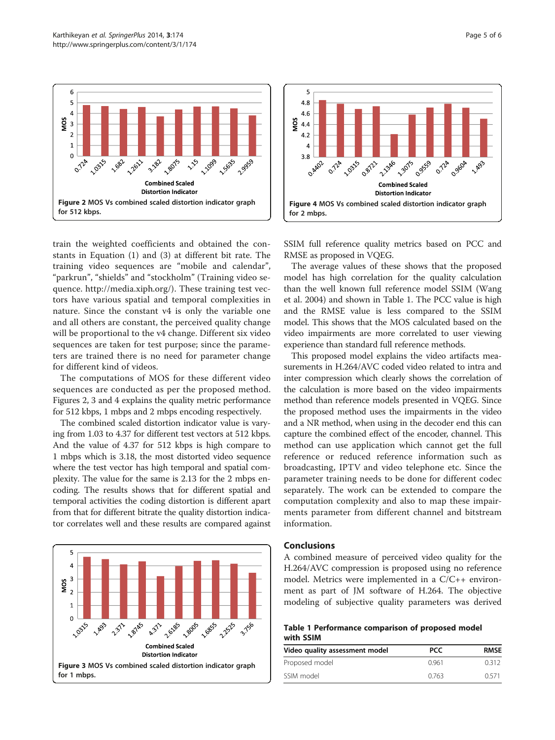

train the weighted coefficients and obtained the constants in Equation ([1](#page-2-0)) and [\(3](#page-3-0)) at different bit rate. The training video sequences are "mobile and calendar", "parkrun", "shields" and "stockholm" ([Training video se](#page-5-0)[quence](#page-5-0). [http://media.xiph.org/\)](http://media.xiph.org/). These training test vectors have various spatial and temporal complexities in nature. Since the constant v4 is only the variable one and all others are constant, the perceived quality change will be proportional to the v4 change. Different six video sequences are taken for test purpose; since the parameters are trained there is no need for parameter change for different kind of videos.

The computations of MOS for these different video sequences are conducted as per the proposed method. Figures 2, 3 and 4 explains the quality metric performance for 512 kbps, 1 mbps and 2 mbps encoding respectively.

The combined scaled distortion indicator value is varying from 1.03 to 4.37 for different test vectors at 512 kbps. And the value of 4.37 for 512 kbps is high compare to 1 mbps which is 3.18, the most distorted video sequence where the test vector has high temporal and spatial complexity. The value for the same is 2.13 for the 2 mbps encoding. The results shows that for different spatial and temporal activities the coding distortion is different apart from that for different bitrate the quality distortion indicator correlates well and these results are compared against





SSIM full reference quality metrics based on PCC and RMSE as proposed in VQEG.

The average values of these shows that the proposed model has high correlation for the quality calculation than the well known full reference model SSIM (Wang et al. [2004\)](#page-5-0) and shown in Table 1. The PCC value is high and the RMSE value is less compared to the SSIM model. This shows that the MOS calculated based on the video impairments are more correlated to user viewing experience than standard full reference methods.

This proposed model explains the video artifacts measurements in H.264/AVC coded video related to intra and inter compression which clearly shows the correlation of the calculation is more based on the video impairments method than reference models presented in VQEG. Since the proposed method uses the impairments in the video and a NR method, when using in the decoder end this can capture the combined effect of the encoder, channel. This method can use application which cannot get the full reference or reduced reference information such as broadcasting, IPTV and video telephone etc. Since the parameter training needs to be done for different codec separately. The work can be extended to compare the computation complexity and also to map these impairments parameter from different channel and bitstream information.

## Conclusions

A combined measure of perceived video quality for the H.264/AVC compression is proposed using no reference model. Metrics were implemented in a C/C++ environment as part of JM software of H.264. The objective modeling of subjective quality parameters was derived

Table 1 Performance comparison of proposed model with SSIM

| Video quality assessment model | <b>PCC</b> | <b>RMSE</b> |
|--------------------------------|------------|-------------|
| Proposed model                 | 0.961      | 0.312       |
| SSIM model                     | 0.763      | 0.571       |